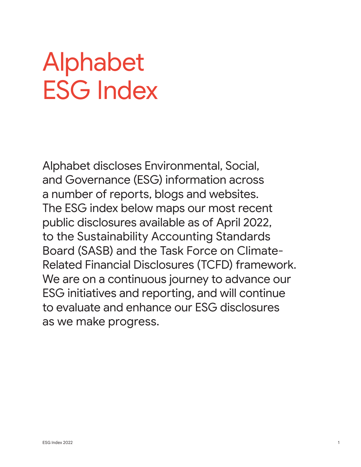# Alphabet ESG Index

Alphabet discloses Environmental, Social, and Governance (ESG) information across a number of reports, blogs and websites. The ESG index below maps our most recent public disclosures available as of April 2022, to the Sustainability Accounting Standards Board (SASB) and the Task Force on Climate-Related Financial Disclosures (TCFD) framework. We are on a continuous journey to advance our ESG initiatives and reporting, and will continue to evaluate and enhance our ESG disclosures as we make progress.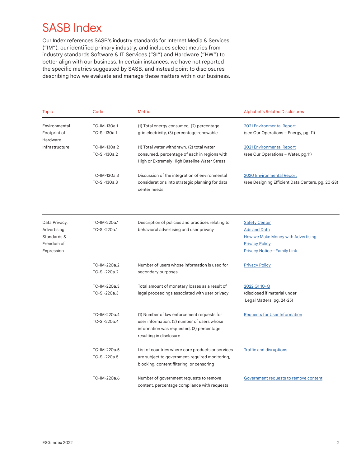### SASB Index

Our Index references SASB's industry standards for Internet Media & Services ("IM"), our identified primary industry, and includes select metrics from industry standards Software & IT Services ("SI") and Hardware ("HW") to better align with our business. In certain instances, we have not reported the specific metrics suggested by SASB, and instead point to disclosures describing how we evaluate and manage these matters within our business.

| Topic                                                                   | Code                         | <b>Metric</b>                                                                                                                                                     | <b>Alphabet's Related Disclosures</b>                                                                                                           |
|-------------------------------------------------------------------------|------------------------------|-------------------------------------------------------------------------------------------------------------------------------------------------------------------|-------------------------------------------------------------------------------------------------------------------------------------------------|
| Environmental<br>Footprint of<br>Hardware                               | TC-IM-130a.1<br>TC-SI-130a.1 | (1) Total energy consumed, (2) percentage<br>grid electricity, (3) percentage renewable                                                                           | 2021 Environmental Report<br>(see Our Operations - Energy, pg. 11)                                                                              |
| Infrastructure                                                          | TC-IM-130a.2<br>TC-SI-130a.2 | (1) Total water withdrawn, (2) total water<br>consumed, percentage of each in regions with<br>High or Extremely High Baseline Water Stress                        | 2021 Environmental Report<br>(see Our Operations - Water, pg.11)                                                                                |
|                                                                         | TC-IM-130a.3<br>TC-SI-130a.3 | Discussion of the integration of environmental<br>considerations into strategic planning for data<br>center needs                                                 | 2020 Environmental Report<br>(see Designing Efficient Data Centers, pg. 20-28)                                                                  |
|                                                                         |                              |                                                                                                                                                                   |                                                                                                                                                 |
| Data Privacy,<br>Advertising<br>Standards &<br>Freedom of<br>Expression | TC-IM-220a.1<br>TC-SI-220a.1 | Description of policies and practices relating to<br>behavioral advertising and user privacy                                                                      | <b>Safety Center</b><br><b>Ads and Data</b><br>How we Make Money with Advertising<br><b>Privacy Policy</b><br><b>Privacy Notice-Family Link</b> |
|                                                                         | TC-IM-220a.2<br>TC-SI-220a.2 | Number of users whose information is used for<br>secondary purposes                                                                                               | <b>Privacy Policy</b>                                                                                                                           |
|                                                                         | TC-IM-220a.3<br>TC-SI-220a.3 | Total amount of monetary losses as a result of<br>legal proceedings associated with user privacy                                                                  | 2022 Q110-Q<br>(disclosed if material under<br>Legal Matters, pg. 24-25)                                                                        |
|                                                                         | TC-IM-220a.4<br>TC-SI-220a.4 | (1) Number of law enforcement requests for<br>user information, (2) number of users whose<br>information was requested, (3) percentage<br>resulting in disclosure | <b>Requests for User Information</b>                                                                                                            |
|                                                                         | TC-IM-220a.5<br>TC-SI-220a.5 | List of countries where core products or services<br>are subject to government-required monitoring,<br>blocking, content filtering, or censoring                  | <b>Traffic and disruptions</b>                                                                                                                  |
|                                                                         | TC-IM-220a.6                 | Number of government requests to remove<br>content, percentage compliance with requests                                                                           | Government requests to remove content                                                                                                           |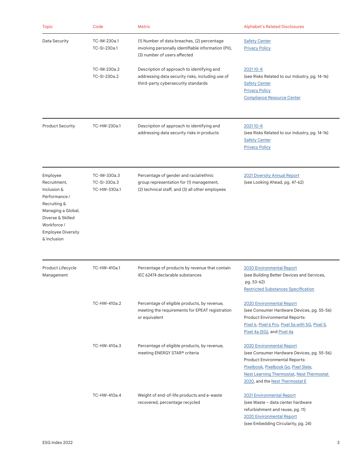| <b>Topic</b>                                                                                                                                                                   | Code                                         | <b>Metric</b>                                                                                                                          | <b>Alphabet's Related Disclosures</b>                                                                                                                                                                                                                   |
|--------------------------------------------------------------------------------------------------------------------------------------------------------------------------------|----------------------------------------------|----------------------------------------------------------------------------------------------------------------------------------------|---------------------------------------------------------------------------------------------------------------------------------------------------------------------------------------------------------------------------------------------------------|
| Data Security                                                                                                                                                                  | TC-IM-230a.1<br>TC-SI-230a.1                 | (1) Number of data breaches, (2) percentage<br>involving personally identifiable information (PII),<br>(3) number of users affected    | <b>Safety Center</b><br><b>Privacy Policy</b>                                                                                                                                                                                                           |
|                                                                                                                                                                                | TC-IM-230a.2<br>TC-SI-230a.2                 | Description of approach to identifying and<br>addressing data security risks, including use of<br>third-party cybersecurity standards  | 202110-K<br>(see Risks Related to our Industry, pg. 14-16)<br><b>Safety Center</b><br><b>Privacy Policy</b><br><b>Compliance Resource Center</b>                                                                                                        |
| <b>Product Security</b>                                                                                                                                                        | TC-HW-230a.1                                 | Description of approach to identifying and<br>addressing data security risks in products                                               | <u>202110-K</u><br>(see Risks Related to our Industry, pg. 14-16)<br><b>Safety Center</b><br><b>Privacy Policy</b>                                                                                                                                      |
| Employee<br>Recruitment,<br>Inclusion &<br>Performance /<br>Recruiting &<br>Managing a Global,<br>Diverse & Skilled<br>Workforce /<br><b>Employee Diversity</b><br>& Inclusion | TC-IM-330a.3<br>TC-SI-330a.3<br>TC-HW-330a.1 | Percentage of gender and racial/ethnic<br>group representation for (1) management,<br>(2) technical staff, and (3) all other employees | <b>2021 Diversity Annual Report</b><br>(see Looking Ahead, pg. 47-62)                                                                                                                                                                                   |
| Product Lifecycle<br>Management                                                                                                                                                | TC-HW-410a.1                                 | Percentage of products by revenue that contain<br>IEC 62474 declarable substances                                                      | 2020 Environmental Report<br>(see Building Better Devices and Services,<br>pg. 53-62)<br><b>Restricted Substances Specification</b>                                                                                                                     |
|                                                                                                                                                                                | TC-HW-410a.2                                 | Percentage of eligible products, by revenue,<br>meeting the requirements for EPEAT registration<br>or equivalent                       | <b>2020 Environmental Report</b><br>(see Consumer Hardware Devices, pg. 55-56)<br><b>Product Environmental Reports:</b><br>Pixel 6, Pixel 6 Pro, Pixel 5a with 5G, Pixel 5,<br>Pixel 4a (5G), and Pixel 4a                                              |
|                                                                                                                                                                                | TC-HW-410a.3                                 | Percentage of eligible products, by revenue,<br>meeting ENERGY STAR® criteria                                                          | <b>2020 Environmental Report</b><br>(see Consumer Hardware Devices, pg. 55-56)<br><b>Product Environmental Reports:</b><br>Pixelbook, Pixelbook Go, Pixel Slate,<br><b>Nest Learning Thermostat, Nest Thermostat</b><br>2020, and the Nest Thermostat E |
|                                                                                                                                                                                | TC-HW-410a.4                                 | Weight of end-of-life products and e-waste<br>recovered, percentage recycled                                                           | 2021 Environmental Report<br>(see Waste - data center hardware<br>refurbishment and reuse, pg. 11)<br>2020 Environmental Report                                                                                                                         |

(see Embedding Circularity, pg. 24)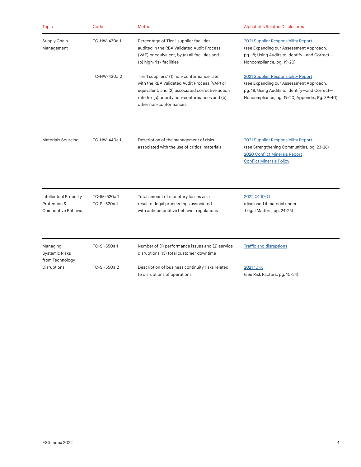| <b>Topic</b>                                                  | Code                         | <b>Metric</b>                                                                                                                                                                                                               | <b>Alphabet's Related Disclosures</b>                                                                                                                                             |
|---------------------------------------------------------------|------------------------------|-----------------------------------------------------------------------------------------------------------------------------------------------------------------------------------------------------------------------------|-----------------------------------------------------------------------------------------------------------------------------------------------------------------------------------|
| Supply Chain<br>Management                                    | TC-HW-430a.1                 | Percentage of Tier 1 supplier facilities<br>audited in the RBA Validated Audit Process<br>(VAP) or equivalent, by (a) all facilities and<br>(b) high-risk facilities                                                        | 2021 Supplier Responsibility Report<br>(see Expanding our Assessment Approach,<br>pg. 18; Using Audits to Identify-and Correct-<br>Noncompliance, pg. 19-20)                      |
|                                                               | TC-HW-430a.2                 | Tier 1 suppliers' (1) non-conformance rate<br>with the RBA Validated Audit Process (VAP) or<br>equivalent, and (2) associated corrective action<br>rate for (a) priority non-conformances and (b)<br>other non-conformances | 2021 Supplier Responsibility Report<br>(see Expanding our Assessment Approach,<br>pg. 18; Using Audits to Identify-and Correct-<br>Noncompliance, pg. 19-20; Appendix, Pg. 39-40) |
| Materials Sourcing                                            | TC-HW-440a.1                 | Description of the management of risks<br>associated with the use of critical materials                                                                                                                                     | 2021 Supplier Responsibility Report<br>(see Strengthening Communities, pg. 23-26)<br>2020 Conflict Minerals Report<br><b>Conflict Minerals Policy</b>                             |
| Intellectual Property<br>Protection &<br>Competitive Behavior | TC-IM-520a.1<br>TC-SI-520a.1 | Total amount of monetary losses as a<br>result of legal proceedings associated<br>with anticompetitive behavior regulations                                                                                                 | 2022 Q110-Q<br>(disclosed if material under<br>Legal Matters, pg. 24-25)                                                                                                          |
| Managing<br><b>Systemic Risks</b><br>from Technology          | TC-SI-550a.1                 | Number of (1) performance issues and (2) service<br>disruptions; (3) total customer downtime                                                                                                                                | <b>Traffic and disruptions</b>                                                                                                                                                    |
| Disruptions                                                   | TC-SI-550a.2                 | Description of business continuity risks related<br>to disruptions of operations                                                                                                                                            | 202110-K<br>(see Risk Factors, pg. 10-24)                                                                                                                                         |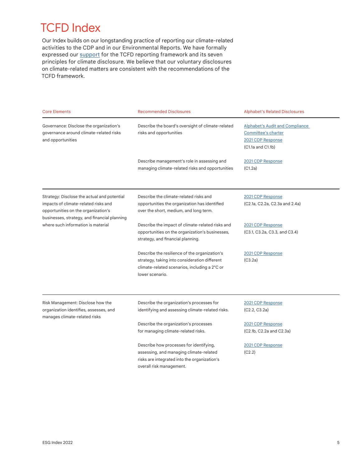## TCFD Index

Our Index builds on our longstanding practice of reporting our climate-related activities to the CDP and in our Environmental Reports. We have formally expressed our **[support](https://abc.xyz/investor/news/releases/2021/0420/)** for the TCFD reporting framework and its seven principles for climate disclosure. We believe that our voluntary disclosures on climate-related matters are consistent with the recommendations of the TCFD framework.

| <b>Core Elements</b>                                                                                                                                                       | <b>Recommended Disclosures</b>                                                                                                                                     | <b>Alphabet's Related Disclosures</b>                                                                   |
|----------------------------------------------------------------------------------------------------------------------------------------------------------------------------|--------------------------------------------------------------------------------------------------------------------------------------------------------------------|---------------------------------------------------------------------------------------------------------|
| Governance: Disclose the organization's<br>governance around climate-related risks<br>and opportunities                                                                    | Describe the board's oversight of climate-related<br>risks and opportunities                                                                                       | <b>Alphabet's Audit and Compliance</b><br>Committee's charter<br>2021 CDP Response<br>(C1.1a and C1.1b) |
|                                                                                                                                                                            | Describe management's role in assessing and<br>managing climate-related risks and opportunities                                                                    | 2021 CDP Response<br>(C1.2a)                                                                            |
| Strategy: Disclose the actual and potential<br>impacts of climate-related risks and<br>opportunities on the organization's<br>businesses, strategy, and financial planning | Describe the climate-related risks and<br>opportunities the organization has identified<br>over the short, medium, and long term.                                  | 2021 CDP Response<br>(C2.1a, C2.2a, C2.3a and 2.4a)                                                     |
| where such information is material                                                                                                                                         | Describe the impact of climate-related risks and<br>opportunities on the organization's businesses,<br>strategy, and financial planning.                           | 2021 CDP Response<br>(C3.1, C3.2a, C3.3, and C3.4)                                                      |
|                                                                                                                                                                            | Describe the resilience of the organization's<br>strategy, taking into consideration different<br>climate-related scenarios, including a 2°C or<br>lower scenario. | 2021 CDP Response<br>(C3.2a)                                                                            |
| Risk Management: Disclose how the<br>organization identifies, assesses, and<br>manages climate-related risks                                                               | Describe the organization's processes for<br>identifying and assessing climate-related risks.                                                                      | 2021 CDP Response<br>(C2.2, C3.2a)                                                                      |
|                                                                                                                                                                            | Describe the organization's processes<br>for managing climate-related risks.                                                                                       | 2021 CDP Response<br>(C2.1b, C2.2a and C2.3a)                                                           |
|                                                                                                                                                                            | Describe how processes for identifying,<br>assessing, and managing climate-related<br>risks are integrated into the organization's<br>overall risk management.     | 2021 CDP Response<br>(C2.2)                                                                             |